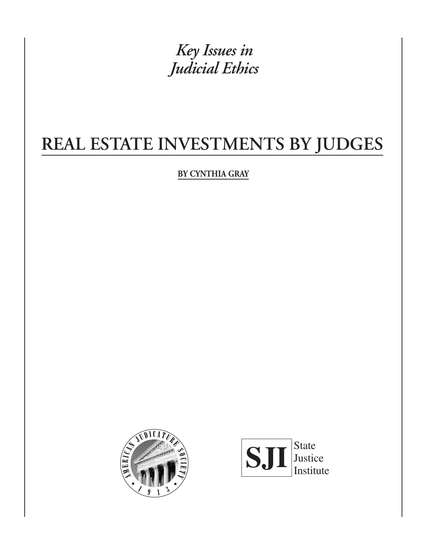*Key Issues in Judicial Ethics*

# **REAL ESTATE INVESTMENTS BY JUDGES**

**BY CYNTHIA GRAY**





**17**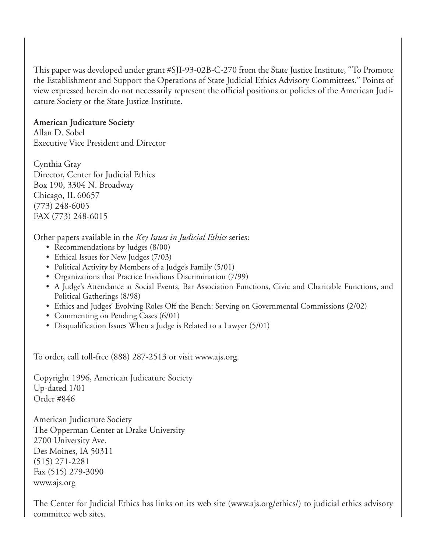This paper was developed under grant #SJI-93-02B-C-270 from the State Justice Institute, ''To Promote the Establishment and Support the Operations of State Judicial Ethics Advisory Committees.'' Points of view expressed herein do not necessarily represent the official positions or policies of the American Judicature Society or the State Justice Institute.

**American Judicature Society** Allan D. Sobel Executive Vice President and Director

Cynthia Gray Director, Center for Judicial Ethics Box 190, 3304 N. Broadway Chicago, IL 60657 (773) 248-6005 FAX (773) 248-6015

Other papers available in the *Key Issues in Judicial Ethics* series:

- Recommendations by Judges (8/00)
- Ethical Issues for New Judges (7/03)
- Political Activity by Members of a Judge's Family (5/01)
- Organizations that Practice Invidious Discrimination (7/99)
- A Judge's Attendance at Social Events, Bar Association Functions, Civic and Charitable Functions, and Political Gatherings (8/98)
- Ethics and Judges' Evolving Roles Off the Bench: Serving on Governmental Commissions (2/02)
- Commenting on Pending Cases (6/01)
- Disqualification Issues When a Judge is Related to a Lawyer (5/01)

To order, call toll-free (888) 287-2513 or visit www.ajs.org.

Copyright 1996, American Judicature Society Up-dated 1/01 Order #846

American Judicature Society The Opperman Center at Drake University 2700 University Ave. Des Moines, IA 50311 (515) 271-2281 Fax (515) 279-3090 www.ajs.org

The Center for Judicial Ethics has links on its web site (www.ajs.org/ethics/) to judicial ethics advisory committee web sites.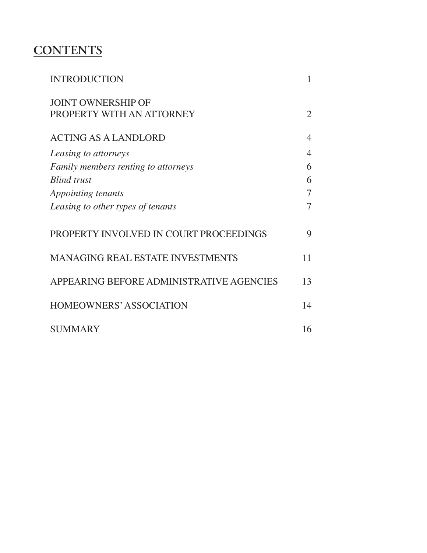## **CONTENTS**

| <b>INTRODUCTION</b>                                    |    |
|--------------------------------------------------------|----|
| <b>JOINT OWNERSHIP OF</b><br>PROPERTY WITH AN ATTORNEY | 2  |
|                                                        |    |
| <b>ACTING AS A LANDLORD</b>                            | 4  |
| Leasing to attorneys                                   | 4  |
| Family members renting to attorneys                    | 6  |
| <b>Blind</b> trust                                     | 6  |
| <i>Appointing tenants</i>                              | 7  |
| Leasing to other types of tenants                      | 7  |
| PROPERTY INVOLVED IN COURT PROCEEDINGS                 | 9  |
| <b>MANAGING REAL ESTATE INVESTMENTS</b>                | 11 |
| APPEARING BEFORE ADMINISTRATIVE AGENCIES               | 13 |
| <b>HOMEOWNERS' ASSOCIATION</b>                         | 14 |
| <b>SUMMARY</b>                                         | 16 |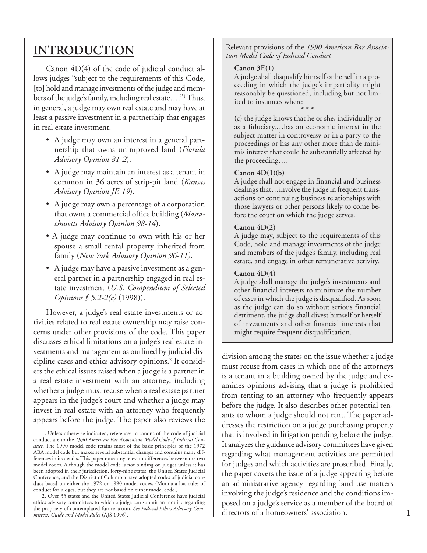### **INTRODUCTION**

Canon 4D(4) of the code of judicial conduct allows judges ''subject to the requirements of this Code, [to] hold and manage investments of the judge and members of the judge's family, including real estate….''1 Thus, in general, a judge may own real estate and may have at least a passive investment in a partnership that engages in real estate investment.

- A judge may own an interest in a general partnership that owns unimproved land (*Florida Advisory Opinion 81-2*).
- A judge may maintain an interest as a tenant in common in 36 acres of strip-pit land (*Kansas Advisory Opinion JE-19*).
- A judge may own a percentage of a corporation that owns a commercial office building (*Massachusetts Advisory Opinion 98-14*).
- A judge may continue to own with his or her spouse a small rental property inherited from family (*New York Advisory Opinion 96-11)*.
- A judge may have a passive investment as a general partner in a partnership engaged in real estate investment (*U.S. Compendium of Selected Opinions § 5.2-2(c)* (1998)).

However, a judge's real estate investments or activities related to real estate ownership may raise concerns under other provisions of the code. This paper discusses ethical limitations on a judge's real estate investments and management as outlined by judicial discipline cases and ethics advisory opinions.2 It considers the ethical issues raised when a judge is a partner in a real estate investment with an attorney, including whether a judge must recuse when a real estate partner appears in the judge's court and whether a judge may invest in real estate with an attorney who frequently appears before the judge. The paper also reviews the Relevant provisions of the *1990 American Bar Association Model Code of Judicial Conduct*

#### **Canon 3E(1)**

A judge shall disqualify himself or herself in a proceeding in which the judge's impartiality might reasonably be questioned, including but not limited to instances where:

\* \* \* (c) the judge knows that he or she, individually or as a fiduciary,…has an economic interest in the subject matter in controversy or in a party to the proceedings or has any other more than de minimis interest that could be substantially affected by the proceeding….

#### **Canon 4D(1)(b)**

A judge shall not engage in financial and business dealings that…involve the judge in frequent transactions or continuing business relationships with those lawyers or other persons likely to come before the court on which the judge serves.

#### **Canon 4D(2)**

A judge may, subject to the requirements of this Code, hold and manage investments of the judge and members of the judge's family, including real estate, and engage in other remunerative activity.

#### **Canon 4D(4)**

A judge shall manage the judge's investments and other financial interests to minimize the number of cases in which the judge is disqualified. As soon as the judge can do so without serious financial detriment, the judge shall divest himself or herself of investments and other financial interests that might require frequent disqualification.

division among the states on the issue whether a judge must recuse from cases in which one of the attorneys is a tenant in a building owned by the judge and examines opinions advising that a judge is prohibited from renting to an attorney who frequently appears before the judge. It also describes other potential tenants to whom a judge should not rent. The paper addresses the restriction on a judge purchasing property that is involved in litigation pending before the judge. It analyzes the guidance advisory committees have given regarding what management activities are permitted for judges and which activities are proscribed. Finally, the paper covers the issue of a judge appearing before an administrative agency regarding land use matters involving the judge's residence and the conditions imposed on a judge's service as a member of the board of directors of a homeowners' association.

<sup>1.</sup> Unless otherwise indicated, references to canons of the code of judicial conduct are to the *1990 American Bar Association Model Code of Judicial Conduct*. The 1990 model code retains most of the basic principles of the 1972 ABA model code but makes several substantial changes and contains many differences in its details. This paper notes any relevant differences between the two model codes. Although the model code is not binding on judges unless it has been adopted in their jurisdiction, forty-nine states, the United States Judicial Conference, and the District of Columbia have adopted codes of judicial conduct based on either the 1972 or 1990 model codes. (Montana has rules of conduct for judges, but they are not based on either model code.)

<sup>2.</sup> Over 35 states and the United States Judicial Conference have judicial ethics advisory committees to which a judge can submit an inquiry regarding the propriety of contemplated future action. *See Judicial Ethics Advisory Committees: Guide and Model Rules* (AJS 1996).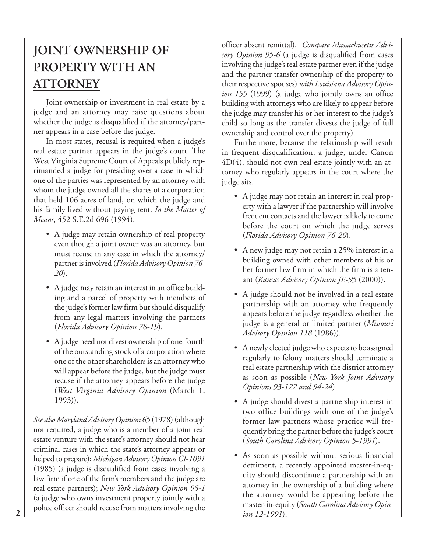## **JOINT OWNERSHIP OF PROPERTY WITH AN ATTORNEY**

Joint ownership or investment in real estate by a judge and an attorney may raise questions about whether the judge is disqualified if the attorney/partner appears in a case before the judge.

In most states, recusal is required when a judge's real estate partner appears in the judge's court. The West Virginia Supreme Court of Appeals publicly reprimanded a judge for presiding over a case in which one of the parties was represented by an attorney with whom the judge owned all the shares of a corporation that held 106 acres of land, on which the judge and his family lived without paying rent. *In the Matter of Means*, 452 S.E.2d 696 (1994).

- A judge may retain ownership of real property even though a joint owner was an attorney, but must recuse in any case in which the attorney/ partner is involved (*Florida Advisory Opinion 76- 20*).
- A judge may retain an interest in an office building and a parcel of property with members of the judge's former law firm but should disqualify from any legal matters involving the partners (*Florida Advisory Opinion 78-19*).
- A judge need not divest ownership of one-fourth of the outstanding stock of a corporation where one of the other shareholders is an attorney who will appear before the judge, but the judge must recuse if the attorney appears before the judge (*West Virginia Advisory Opinion* (March 1, 1993)).

*See also Maryland Advisory Opinion 65* (1978) (although not required, a judge who is a member of a joint real estate venture with the state's attorney should not hear criminal cases in which the state's attorney appears or helped to prepare); *Michigan Advisory Opinion CI-1091* (1985) (a judge is disqualified from cases involving a law firm if one of the firm's members and the judge are real estate partners); *New York Advisory Opinion 95-1* (a judge who owns investment property jointly with a police officer should recuse from matters involving the

officer absent remittal). *Compare Massachusetts Advisory Opinion 95-6* (a judge is disqualified from cases involving the judge's real estate partner even if the judge and the partner transfer ownership of the property to their respective spouses) *with Louisiana Advisory Opinion 155* (1999) (a judge who jointly owns an office building with attorneys who are likely to appear before the judge may transfer his or her interest to the judge's child so long as the transfer divests the judge of full ownership and control over the property).

Furthermore, because the relationship will result in frequent disqualification, a judge, under Canon 4D(4), should not own real estate jointly with an attorney who regularly appears in the court where the judge sits.

- A judge may not retain an interest in real property with a lawyer if the partnership will involve frequent contacts and the lawyer is likely to come before the court on which the judge serves (*Florida Advisory Opinion 76-20*).
- A new judge may not retain a 25% interest in a building owned with other members of his or her former law firm in which the firm is a tenant (*Kansas Advisory Opinion JE-95* (2000)).
- A judge should not be involved in a real estate partnership with an attorney who frequently appears before the judge regardless whether the judge is a general or limited partner (*Missouri Advisory Opinion 118* (1986)).
- A newly elected judge who expects to be assigned regularly to felony matters should terminate a real estate partnership with the district attorney as soon as possible (*New York Joint Advisory Opinions 93-122 and 94-24*).
- A judge should divest a partnership interest in two office buildings with one of the judge's former law partners whose practice will frequently bring the partner before the judge's court (*South Carolina Advisory Opinion 5-1991*).
- As soon as possible without serious financial detriment, a recently appointed master-in-equity should discontinue a partnership with an attorney in the ownership of a building where the attorney would be appearing before the master-in-equity (*South Carolina Advisory Opinion 12-1991*).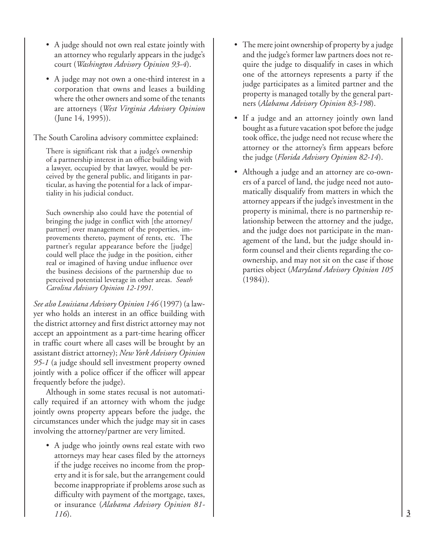- A judge should not own real estate jointly with an attorney who regularly appears in the judge's court (*Washington Advisory Opinion 93-4*).
- A judge may not own a one-third interest in a corporation that owns and leases a building where the other owners and some of the tenants are attorneys (*West Virginia Advisory Opinion* (June 14, 1995)).

The South Carolina advisory committee explained:

There is significant risk that a judge's ownership of a partnership interest in an office building with a lawyer, occupied by that lawyer, would be perceived by the general public, and litigants in particular, as having the potential for a lack of impartiality in his judicial conduct.

Such ownership also could have the potential of bringing the judge in conflict with [the attorney/ partner] over management of the properties, improvements thereto, payment of rents, etc. The partner's regular appearance before the [judge] could well place the judge in the position, either real or imagined of having undue influence over the business decisions of the partnership due to perceived potential leverage in other areas. *South Carolina Advisory Opinion 12-1991*.

*See also Louisiana Advisory Opinion 146* (1997) (a lawyer who holds an interest in an office building with the district attorney and first district attorney may not accept an appointment as a part-time hearing officer in traffic court where all cases will be brought by an assistant district attorney); *New York Advisory Opinion 95-1* (a judge should sell investment property owned jointly with a police officer if the officer will appear frequently before the judge).

Although in some states recusal is not automatically required if an attorney with whom the judge jointly owns property appears before the judge, the circumstances under which the judge may sit in cases involving the attorney/partner are very limited.

• A judge who jointly owns real estate with two attorneys may hear cases filed by the attorneys if the judge receives no income from the property and it is for sale, but the arrangement could become inappropriate if problems arose such as difficulty with payment of the mortgage, taxes, or insurance (*Alabama Advisory Opinion 81- 116*).

- The mere joint ownership of property by a judge and the judge's former law partners does not require the judge to disqualify in cases in which one of the attorneys represents a party if the judge participates as a limited partner and the property is managed totally by the general partners (*Alabama Advisory Opinion 83-198*).
- If a judge and an attorney jointly own land bought as a future vacation spot before the judge took office, the judge need not recuse where the attorney or the attorney's firm appears before the judge (*Florida Advisory Opinion 82-14*).
- Although a judge and an attorney are co-owners of a parcel of land, the judge need not automatically disqualify from matters in which the attorney appears if the judge's investment in the property is minimal, there is no partnership relationship between the attorney and the judge, and the judge does not participate in the management of the land, but the judge should inform counsel and their clients regarding the coownership, and may not sit on the case if those parties object (*Maryland Advisory Opinion 105*  $(1984)$ .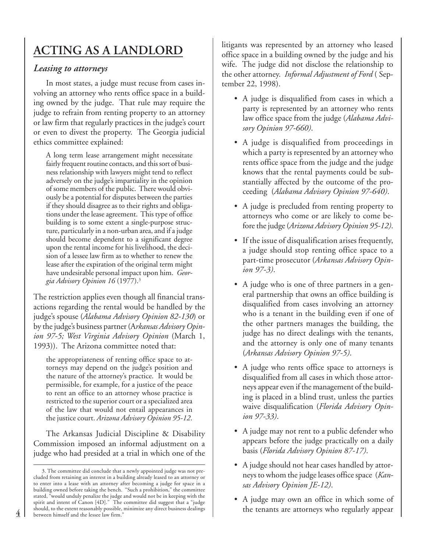## **ACTING AS A LANDLORD**

### *Leasing to attorneys*

In most states, a judge must recuse from cases involving an attorney who rents office space in a building owned by the judge. That rule may require the judge to refrain from renting property to an attorney or law firm that regularly practices in the judge's court or even to divest the property. The Georgia judicial ethics committee explained:

A long term lease arrangement might necessitate fairly frequent routine contacts, and this sort of business relationship with lawyers might tend to reflect adversely on the judge's impartiality in the opinion of some members of the public. There would obviously be a potential for disputes between the parties if they should disagree as to their rights and obligations under the lease agreement. This type of office building is to some extent a single-purpose structure, particularly in a non-urban area, and if a judge should become dependent to a significant degree upon the rental income for his livelihood, the decision of a lessee law firm as to whether to renew the lease after the expiration of the original term might have undesirable personal impact upon him. *Georgia Advisory Opinion 16* (1977).3

The restriction applies even though all financial transactions regarding the rental would be handled by the judge's spouse (*Alabama Advisory Opinion 82-130*) or by the judge's business partner (A*rkansas Advisory Opinion 97-5; West Virginia Advisory Opinion* (March 1, 1993)). The Arizona committee noted that:

the appropriateness of renting office space to attorneys may depend on the judge's position and the nature of the attorney's practice. It would be permissible, for example, for a justice of the peace to rent an office to an attorney whose practice is restricted to the superior court or a specialized area of the law that would not entail appearances in the justice court. *Arizona Advisory Opinion 95-12*.

The Arkansas Judicial Discipline & Disability Commission imposed an informal adjustment on a judge who had presided at a trial in which one of the litigants was represented by an attorney who leased office space in a building owned by the judge and his wife. The judge did not disclose the relationship to the other attorney. *Informal Adjustment of Ford* ( September 22, 1998).

- A judge is disqualified from cases in which a party is represented by an attorney who rents law office space from the judge (*Alabama Advisory Opinion 97-660)*.
- A judge is disqualified from proceedings in which a party is represented by an attorney who rents office space from the judge and the judge knows that the rental payments could be substantially affected by the outcome of the proceeding (*Alabama Advisory Opinion 97-640)*.
- A judge is precluded from renting property to attorneys who come or are likely to come before the judge (*Arizona Advisory Opinion 95-12)*.
- If the issue of disqualification arises frequently, a judge should stop renting office space to a part-time prosecutor (*Arkansas Advisory Opinion 97-3)*.
- A judge who is one of three partners in a general partnership that owns an office building is disqualified from cases involving an attorney who is a tenant in the building even if one of the other partners manages the building, the judge has no direct dealings with the tenants, and the attorney is only one of many tenants (*Arkansas Advisory Opinion 97-5)*.
- A judge who rents office space to attorneys is disqualified from all cases in which those attorneys appear even if the management of the building is placed in a blind trust, unless the parties waive disqualification (*Florida Advisory Opinion 97-33)*.
- A judge may not rent to a public defender who appears before the judge practically on a daily basis (*Florida Advisory Opinion 87-17)*.
- A judge should not hear cases handled by attorneys to whom the judge leases office space (*Kansas Advisory Opinion JE-12)*.
- A judge may own an office in which some of the tenants are attorneys who regularly appear

<sup>3.</sup> The committee did conclude that a newly appointed judge was not precluded from retaining an interest in a building already leased to an attorney or to enter into a lease with an attorney after becoming a judge for space in a building owned before taking the bench. "Such a prohibition," the committee stated, "would unduly penalize the judge and would not be in keeping with the spirit and intent of Canon [4D]." The committee did suggest that a "judge should, to the extent reasonably possible, minimize any direct business dealings between himself and the lessee law firm."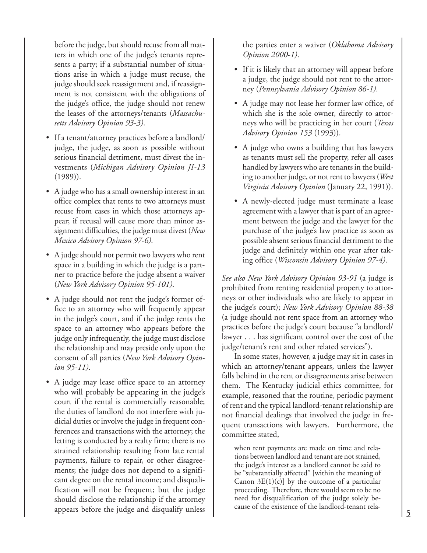before the judge, but should recuse from all matters in which one of the judge's tenants represents a party; if a substantial number of situations arise in which a judge must recuse, the judge should seek reassignment and, if reassignment is not consistent with the obligations of the judge's office, the judge should not renew the leases of the attorneys/tenants (*Massachusetts Advisory Opinion 93-3)*.

- If a tenant/attorney practices before a landlord/ judge, the judge, as soon as possible without serious financial detriment, must divest the investments (*Michigan Advisory Opinion JI-13* (1989)).
- A judge who has a small ownership interest in an office complex that rents to two attorneys must recuse from cases in which those attorneys appear; if recusal will cause more than minor assignment difficulties, the judge must divest (*New Mexico Advisory Opinion 97-6)*.
- A judge should not permit two lawyers who rent space in a building in which the judge is a partner to practice before the judge absent a waiver (*New York Advisory Opinion 95-101)*.
- A judge should not rent the judge's former office to an attorney who will frequently appear in the judge's court, and if the judge rents the space to an attorney who appears before the judge only infrequently, the judge must disclose the relationship and may preside only upon the consent of all parties (*New York Advisory Opinion 95-11)*.
- A judge may lease office space to an attorney who will probably be appearing in the judge's court if the rental is commercially reasonable; the duties of landlord do not interfere with judicial duties or involve the judge in frequent conferences and transactions with the attorney; the letting is conducted by a realty firm; there is no strained relationship resulting from late rental payments, failure to repair, or other disagreements; the judge does not depend to a significant degree on the rental income; and disqualification will not be frequent; but the judge should disclose the relationship if the attorney appears before the judge and disqualify unless

the parties enter a waiver (*Oklahoma Advisory Opinion 2000-1)*.

- If it is likely that an attorney will appear before a judge, the judge should not rent to the attorney (*Pennsylvania Advisory Opinion 86-1)*.
- A judge may not lease her former law office, of which she is the sole owner, directly to attorneys who will be practicing in her court (*Texas Advisory Opinion 153* (1993)).
- A judge who owns a building that has lawyers as tenants must sell the property, refer all cases handled by lawyers who are tenants in the building to another judge, or not rent to lawyers (*West Virginia Advisory Opinion* (January 22, 1991)).
- A newly-elected judge must terminate a lease agreement with a lawyer that is part of an agreement between the judge and the lawyer for the purchase of the judge's law practice as soon as possible absent serious financial detriment to the judge and definitely within one year after taking office (*Wisconsin Advisory Opinion 97-4)*.

*See also New York Advisory Opinion 93-91* (a judge is prohibited from renting residential property to attorneys or other individuals who are likely to appear in the judge's court); *New York Advisory Opinion 88-38* (a judge should not rent space from an attorney who practices before the judge's court because "a landlord/ lawyer . . . has significant control over the cost of the judge/tenant's rent and other related services").

In some states, however, a judge may sit in cases in which an attorney/tenant appears, unless the lawyer falls behind in the rent or disagreements arise between them. The Kentucky judicial ethics committee, for example, reasoned that the routine, periodic payment of rent and the typical landlord-tenant relationship are not financial dealings that involved the judge in frequent transactions with lawyers. Furthermore, the committee stated,

when rent payments are made on time and relations between landlord and tenant are not strained, the judge's interest as a landlord cannot be said to be "substantially affected" [within the meaning of Canon  $3E(1)(c)$  by the outcome of a particular proceeding. Therefore, there would seem to be no need for disqualification of the judge solely because of the existence of the landlord-tenant rela-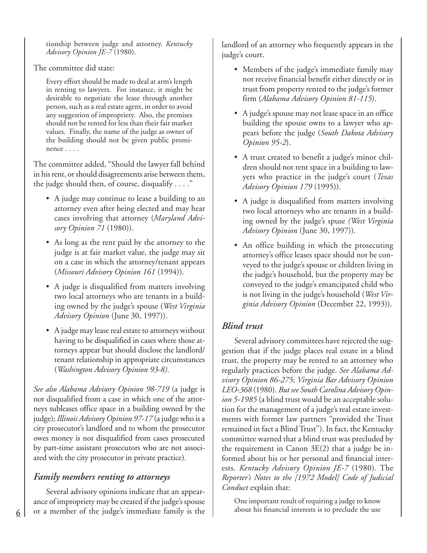tionship between judge and attorney. *Kentucky Advisory Opinion JE-7* (1980).

The committee did state:

Every effort should be made to deal at arm's length in renting to lawyers. For instance, it might be desirable to negotiate the lease through another person, such as a real estate agent, in order to avoid any suggestion of impropriety. Also, the premises should not be rented for less than their fair market values. Finally, the name of the judge as owner of the building should not be given public prominence . . . .

The committee added, "Should the lawyer fall behind in his rent, or should disagreements arise between them, the judge should then, of course, disqualify . . . ."

- A judge may continue to lease a building to an attorney even after being elected and may hear cases involving that attorney (*Maryland Advisory Opinion 71* (1980)).
- As long as the rent paid by the attorney to the judge is at fair market value, the judge may sit on a case in which the attorney/tenant appears (*Missouri Advisory Opinion 161* (1994)).
- A judge is disqualified from matters involving two local attorneys who are tenants in a building owned by the judge's spouse (*West Virginia Advisory Opinion* (June 30, 1997)).
- A judge may lease real estate to attorneys without having to be disqualified in cases where those attorneys appear but should disclose the landlord/ tenant relationship in appropriate circumstances (*Washington Advisory Opinion 93-8)*.

*See also Alabama Advisory Opinion 98-719* (a judge is not disqualified from a case in which one of the attorneys subleases office space in a building owned by the judge); *Illinois Advisory Opinion 97-17* (a judge who is a city prosecutor's landlord and to whom the prosecutor owes money is not disqualified from cases prosecuted by part-time assistant prosecutors who are not associated with the city prosecutor in private practice).

### *Family members renting to attorneys*

Several advisory opinions indicate that an appearance of impropriety may be created if the judge's spouse or a member of the judge's immediate family is the

landlord of an attorney who frequently appears in the judge's court.

- Members of the judge's immediate family may not receive financial benefit either directly or in trust from property rented to the judge's former firm (*Alabama Advisory Opinion 81-115*).
- A judge's spouse may not lease space in an office building the spouse owns to a lawyer who appears before the judge (*South Dakota Advisory Opinion 95-2*).
- A trust created to benefit a judge's minor children should not rent space in a building to lawyers who practice in the judge's court (*Texas Advisory Opinion 179* (1995)).
- A judge is disqualified from matters involving two local attorneys who are tenants in a building owned by the judge's spuse *(West Virginia Advisory Opinion* (June 30, 1997)).
- An office building in which the prosecuting attorney's office leases space should not be conveyed to the judge's spouse or children living in the judge's household, but the property may be conveyed to the judge's emancipated child who is not living in the judge's household (*West Virginia Advisory Opinion* (December 22, 1993)).

### *Blind trust*

Several advisory committees have rejected the suggestion that if the judge places real estate in a blind trust, the property may be rented to an attorney who regularly practices before the judge. *See Alabama Advisory Opinion 86-275*; *Virginia Bar Advisory Opinion LEO-368* (1980). *But see South Carolina Advisory Opinion 5-1985* (a blind trust would be an acceptable solution for the management of a judge's real estate investments with former law partners ''provided the Trust remained in fact a Blind Trust''). In fact, the Kentucky committee warned that a blind trust was precluded by the requirement in Canon 3E(2) that a judge be informed about his or her personal and financial interests. *Kentucky Advisory Opinion JE-7* (1980). The *Reporter's Notes to the [1972 Model] Code of Judicial Conduct* explain that:

One important result of requiring a judge to know about his financial interests is to preclude the use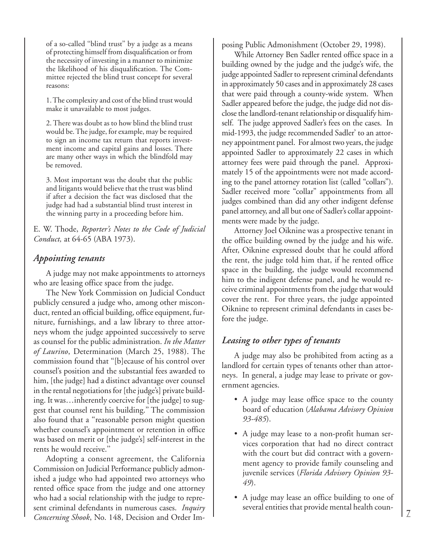of a so-called ''blind trust'' by a judge as a means of protecting himself from disqualification or from the necessity of investing in a manner to minimize the likelihood of his disqualification. The Committee rejected the blind trust concept for several reasons:

1. The complexity and cost of the blind trust would make it unavailable to most judges.

2. There was doubt as to how blind the blind trust would be. The judge, for example, may be required to sign an income tax return that reports investment income and capital gains and losses. There are many other ways in which the blindfold may be removed.

3. Most important was the doubt that the public and litigants would believe that the trust was blind if after a decision the fact was disclosed that the judge had had a substantial blind trust interest in the winning party in a proceeding before him.

E. W. Thode, *Reporter's Notes to the Code of Judicial Conduct,* at 64-65 (ABA 1973).

#### *Appointing tenants*

A judge may not make appointments to attorneys who are leasing office space from the judge.

The New York Commission on Judicial Conduct publicly censured a judge who, among other misconduct, rented an official building, office equipment, furniture, furnishings, and a law library to three attorneys whom the judge appointed successively to serve as counsel for the public administration. *In the Matter of Laurino*, Determination (March 25, 1988). The commission found that ''[b]ecause of his control over counsel's position and the substantial fees awarded to him, [the judge] had a distinct advantage over counsel in the rental negotiations for [the judge's] private building. It was…inherently coercive for [the judge] to suggest that counsel rent his building.'' The commission also found that a ''reasonable person might question whether counsel's appointment or retention in office was based on merit or [the judge's] self-interest in the rents he would receive.''

Adopting a consent agreement, the California Commission on Judicial Performance publicly admonished a judge who had appointed two attorneys who rented office space from the judge and one attorney who had a social relationship with the judge to represent criminal defendants in numerous cases. *Inquiry Concerning Shook*, No. 148, Decision and Order Imposing Public Admonishment (October 29, 1998).

While Attorney Ben Sadler rented office space in a building owned by the judge and the judge's wife, the judge appointed Sadler to represent criminal defendants in approximately 50 cases and in approximately 28 cases that were paid through a county-wide system. When Sadler appeared before the judge, the judge did not disclose the landlord-tenant relationship or disqualify himself. The judge approved Sadler's fees on the cases. In mid-1993, the judge recommended Sadler' to an attorney appointment panel. For almost two years, the judge appointed Sadler to approximately 22 cases in which attorney fees were paid through the panel. Approximately 15 of the appointments were not made according to the panel attorney rotation list (called "collars"). Sadler received more "collar" appointments from all judges combined than did any other indigent defense panel attorney, and all but one of Sadler's collar appointments were made by the judge.

Attorney Joel Oiknine was a prospective tenant in the office building owned by the judge and his wife. After, Oiknine expressed doubt that he could afford the rent, the judge told him that, if he rented office space in the building, the judge would recommend him to the indigent defense panel, and he would receive criminal appointments from the judge that would cover the rent. For three years, the judge appointed Oiknine to represent criminal defendants in cases before the judge.

### *Leasing to other types of tenants*

A judge may also be prohibited from acting as a landlord for certain types of tenants other than attorneys. In general, a judge may lease to private or government agencies.

- A judge may lease office space to the county board of education (*Alabama Advisory Opinion 93-485*).
- A judge may lease to a non-profit human services corporation that had no direct contract with the court but did contract with a government agency to provide family counseling and juvenile services (*Florida Advisory Opinion 93- 49*).
- A judge may lease an office building to one of several entities that provide mental health coun-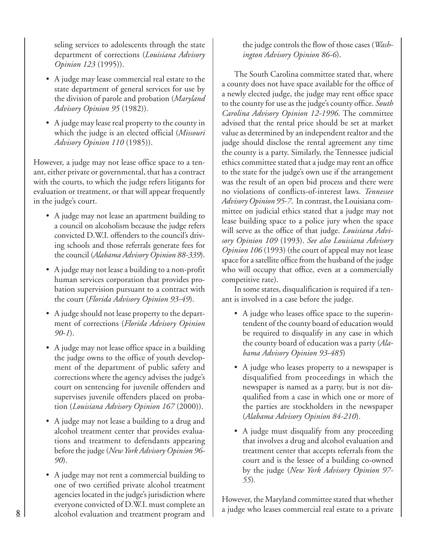seling services to adolescents through the state department of corrections (*Louisiana Advisory Opinion 123* (1995)).

- A judge may lease commercial real estate to the state department of general services for use by the division of parole and probation (*Maryland Advisory Opinion 95* (1982)).
- A judge may lease real property to the county in which the judge is an elected official (*Missouri Advisory Opinion 110* (1985)).

However, a judge may not lease office space to a tenant, either private or governmental, that has a contract with the courts, to which the judge refers litigants for evaluation or treatment, or that will appear frequently in the judge's court.

- A judge may not lease an apartment building to a council on alcoholism because the judge refers convicted D.W.I. offenders to the council's driving schools and those referrals generate fees for the council (*Alabama Advisory Opinion 88-339*).
- A judge may not lease a building to a non-profit human services corporation that provides probation supervision pursuant to a contract with the court (*Florida Advisory Opinion 93-49*).
- A judge should not lease property to the department of corrections (*Florida Advisory Opinion 90-1*).
- A judge may not lease office space in a building the judge owns to the office of youth development of the department of public safety and corrections where the agency advises the judge's court on sentencing for juvenile offenders and supervises juvenile offenders placed on probation (*Louisiana Advisory Opinion 167* (2000)).
- A judge may not lease a building to a drug and alcohol treatment center that provides evaluations and treatment to defendants appearing before the judge (*New York Advisory Opinion 96- 90*).
- A judge may not rent a commercial building to one of two certified private alcohol treatment agencies located in the judge's jurisdiction where everyone convicted of D.W.I. must complete an alcohol evaluation and treatment program and

the judge controls the flow of those cases (*Washington Advisory Opinion 86-6*).

The South Carolina committee stated that, where a county does not have space available for the office of a newly elected judge, the judge may rent office space to the county for use as the judge's county office. *South Carolina Advisory Opinion 12-1996*. The committee advised that the rental price should be set at market value as determined by an independent realtor and the judge should disclose the rental agreement any time the county is a party. Similarly, the Tennessee judicial ethics committee stated that a judge may rent an office to the state for the judge's own use if the arrangement was the result of an open bid process and there were no violations of conflicts-of-interest laws. *Tennessee Advisory Opinion 95-7*. In contrast, the Louisiana committee on judicial ethics stated that a judge may not lease building space to a police jury when the space will serve as the office of that judge. *Louisiana Advisory Opinion 109* (1993). *See also Louisiana Advisory Opinion 106* (1993) (the court of appeal may not lease space for a satellite office from the husband of the judge who will occupy that office, even at a commercially competitive rate).

In some states, disqualification is required if a tenant is involved in a case before the judge.

- A judge who leases office space to the superintendent of the county board of education would be required to disqualify in any case in which the county board of education was a party (*Alabama Advisory Opinion 93-485*)
- A judge who leases property to a newspaper is disqualified from proceedings in which the newspaper is named as a party, but is not disqualified from a case in which one or more of the parties are stockholders in the newspaper (*Alabama Advisory Opinion 84-210*).
- A judge must disqualify from any proceeding that involves a drug and alcohol evaluation and treatment center that accepts referrals from the court and is the lessee of a building co-owned by the judge (*New York Advisory Opinion 97- 55*)*.*

However, the Maryland committee stated that whether a judge who leases commercial real estate to a private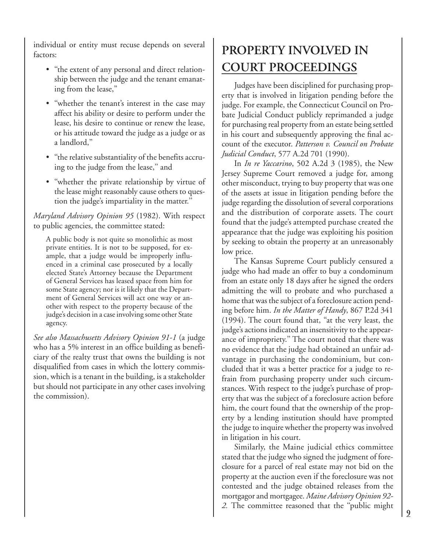individual or entity must recuse depends on several factors:

- "the extent of any personal and direct relationship between the judge and the tenant emanating from the lease,''
- ''whether the tenant's interest in the case may affect his ability or desire to perform under the lease, his desire to continue or renew the lease, or his attitude toward the judge as a judge or as a landlord,''
- ''the relative substantiality of the benefits accruing to the judge from the lease,'' and
- "whether the private relationship by virtue of the lease might reasonably cause others to question the judge's impartiality in the matter.''

*Maryland Advisory Opinion 95* (1982). With respect to public agencies, the committee stated:

A public body is not quite so monolithic as most private entities. It is not to be supposed, for example, that a judge would be improperly influenced in a criminal case prosecuted by a locally elected State's Attorney because the Department of General Services has leased space from him for some State agency; nor is it likely that the Department of General Services will act one way or another with respect to the property because of the judge's decision in a case involving some other State agency.

*See also Massachusetts Advisory Opinion 91-1* (a judge who has a 5% interest in an office building as beneficiary of the realty trust that owns the building is not disqualified from cases in which the lottery commission, which is a tenant in the building, is a stakeholder but should not participate in any other cases involving the commission).

## **PROPERTY INVOLVED IN COURT PROCEEDINGS**

Judges have been disciplined for purchasing property that is involved in litigation pending before the judge. For example, the Connecticut Council on Probate Judicial Conduct publicly reprimanded a judge for purchasing real property from an estate being settled in his court and subsequently approving the final account of the executor. *Patterson v. Council on Probate Judicial Conduct*, 577 A.2d 701 (1990).

In *In re Yaccarino*, 502 A.2d 3 (1985), the New Jersey Supreme Court removed a judge for, among other misconduct, trying to buy property that was one of the assets at issue in litigation pending before the judge regarding the dissolution of several corporations and the distribution of corporate assets. The court found that the judge's attempted purchase created the appearance that the judge was exploiting his position by seeking to obtain the property at an unreasonably low price.

The Kansas Supreme Court publicly censured a judge who had made an offer to buy a condominum from an estate only 18 days after he signed the orders admitting the will to probate and who purchased a home that was the subject of a foreclosure action pending before him. *In the Matter of Handy*, 867 P.2d 341 (1994). The court found that, ''at the very least, the judge's actions indicated an insensitivity to the appearance of impropriety.'' The court noted that there was no evidence that the judge had obtained an unfair advantage in purchasing the condominium, but concluded that it was a better practice for a judge to refrain from purchasing property under such circumstances. With respect to the judge's purchase of property that was the subject of a foreclosure action before him, the court found that the ownership of the property by a lending institution should have prompted the judge to inquire whether the property was involved in litigation in his court.

Similarly, the Maine judicial ethics committee stated that the judge who signed the judgment of foreclosure for a parcel of real estate may not bid on the property at the auction even if the foreclosure was not contested and the judge obtained releases from the mortgagor and mortgagee. *Maine Advisory Opinion 92- 2.* The committee reasoned that the ''public might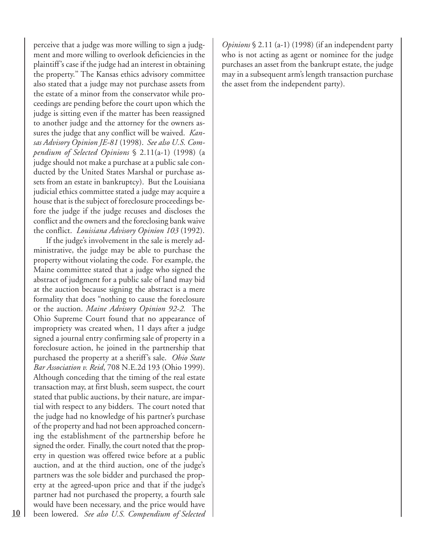perceive that a judge was more willing to sign a judgment and more willing to overlook deficiencies in the plaintiff's case if the judge had an interest in obtaining the property.'' The Kansas ethics advisory committee also stated that a judge may not purchase assets from the estate of a minor from the conservator while proceedings are pending before the court upon which the judge is sitting even if the matter has been reassigned to another judge and the attorney for the owners assures the judge that any conflict will be waived. *Kansas Advisory Opinion JE-81* (1998). *See also U.S. Compendium of Selected Opinions* § 2.11(a-1) (1998) (a judge should not make a purchase at a public sale conducted by the United States Marshal or purchase assets from an estate in bankruptcy). But the Louisiana judicial ethics committee stated a judge may acquire a house that is the subject of foreclosure proceedings before the judge if the judge recuses and discloses the conflict and the owners and the foreclosing bank waive the conflict. *Louisiana Advisory Opinion 103* (1992).

If the judge's involvement in the sale is merely administrative, the judge may be able to purchase the property without violating the code. For example, the Maine committee stated that a judge who signed the abstract of judgment for a public sale of land may bid at the auction because signing the abstract is a mere formality that does "nothing to cause the foreclosure or the auction. *Maine Advisory Opinion 92-2.* The Ohio Supreme Court found that no appearance of impropriety was created when, 11 days after a judge signed a journal entry confirming sale of property in a foreclosure action, he joined in the partnership that purchased the property at a sheriff's sale. *Ohio State Bar Association v. Reid*, 708 N.E.2d 193 (Ohio 1999). Although conceding that the timing of the real estate transaction may, at first blush, seem suspect, the court stated that public auctions, by their nature, are impartial with respect to any bidders. The court noted that the judge had no knowledge of his partner's purchase of the property and had not been approached concerning the establishment of the partnership before he signed the order. Finally, the court noted that the property in question was offered twice before at a public auction, and at the third auction, one of the judge's partners was the sole bidder and purchased the property at the agreed-upon price and that if the judge's partner had not purchased the property, a fourth sale would have been necessary, and the price would have been lowered. *See also U.S. Compendium of Selected* *Opinions* § 2.11 (a-1) (1998) (if an independent party who is not acting as agent or nominee for the judge purchases an asset from the bankrupt estate, the judge may in a subsequent arm's length transaction purchase the asset from the independent party).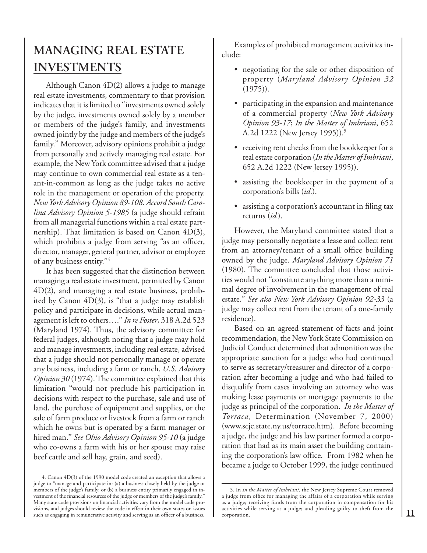### **MANAGING REAL ESTATE INVESTMENTS**

Although Canon 4D(2) allows a judge to manage real estate investments, commentary to that provision indicates that it is limited to ''investments owned solely by the judge, investments owned solely by a member or members of the judge's family, and investments owned jointly by the judge and members of the judge's family.'' Moreover, advisory opinions prohibit a judge from personally and actively managing real estate. For example, the New York committee advised that a judge may continue to own commercial real estate as a tenant-in-common as long as the judge takes no active role in the management or operation of the property. *New York Advisory Opinion 89-108*. *Accord South Carolina Advisory Opinion 5-1985* (a judge should refrain from all managerial functions within a real estate partnership). That limitation is based on Canon 4D(3), which prohibits a judge from serving "as an officer, director, manager, general partner, advisor or employee of any business entity.''4

It has been suggested that the distinction between managing a real estate investment, permitted by Canon 4D(2), and managing a real estate business, prohibited by Canon  $4D(3)$ , is "that a judge may establish policy and participate in decisions, while actual management is left to others….'' *In re Foster*, 318 A.2d 523 (Maryland 1974). Thus, the advisory committee for federal judges, although noting that a judge may hold and manage investments, including real estate, advised that a judge should not personally manage or operate any business, including a farm or ranch. *U.S. Advisory Opinion 30* (1974). The committee explained that this limitation ''would not preclude his participation in decisions with respect to the purchase, sale and use of land, the purchase of equipment and supplies, or the sale of farm produce or livestock from a farm or ranch which he owns but is operated by a farm manager or hired man.'' *See Ohio Advisory Opinion 95-10* (a judge who co-owns a farm with his or her spouse may raise beef cattle and sell hay, grain, and seed).

Examples of prohibited management activities include:

- negotiating for the sale or other disposition of property (*Maryland Advisory Opinion 32* (1975)).
- participating in the expansion and maintenance of a commercial property (*New York Advisory Opinion 93-17*; *In the Matter of Imbriani*, 652 A.2d 1222 (New Jersey 1995)).5
- receiving rent checks from the bookkeeper for a real estate corporation (*In the Matter of Imbriani*, 652 A.2d 1222 (New Jersey 1995)).
- assisting the bookkeeper in the payment of a corporation's bills (*id*.).
- assisting a corporation's accountant in filing tax returns (*id* ).

However, the Maryland committee stated that a judge may personally negotiate a lease and collect rent from an attorney/tenant of a small office building owned by the judge. *Maryland Advisory Opinion 71* (1980). The committee concluded that those activities would not ''constitute anything more than a minimal degree of involvement in the management of real estate.'' *See also New York Advisory Opinion 92-33* (a judge may collect rent from the tenant of a one-family residence).

Based on an agreed statement of facts and joint recommendation, the New York State Commission on Judicial Conduct determined that admonition was the appropriate sanction for a judge who had continued to serve as secretary/treasurer and director of a corporation after becoming a judge and who had failed to disqualify from cases involving an attorney who was making lease payments or mortgage payments to the judge as principal of the corporation. *In the Matter of Torraca*, Determination (November 7, 2000) (www.scjc.state.ny.us/torraco.htm). Before becoming a judge, the judge and his law partner formed a corporation that had as its main asset the building containing the corporation's law office. From 1982 when he became a judge to October 1999, the judge continued

<sup>4.</sup> Canon 4D(3) of the 1990 model code created an exception that allows a judge to ''manage and participate in: (a) a business closely held by the judge or members of the judge's family, or (b) a business entity primarily engaged in investment of the financial resources of the judge or members of the judge's family.'' Many state code provisions on financial activities vary from the model code provisions, and judges should review the code in effect in their own states on issues such as engaging in remunerative activity and serving as an officer of a business.

<sup>5.</sup> In *In the Matter of Imbriani*, the New Jersey Supreme Court removed a judge from office for managing the affairs of a corporation while serving as a judge; receiving funds from the corporation in compensation for his activities while serving as a judge; and pleading guilty to theft from the corporation.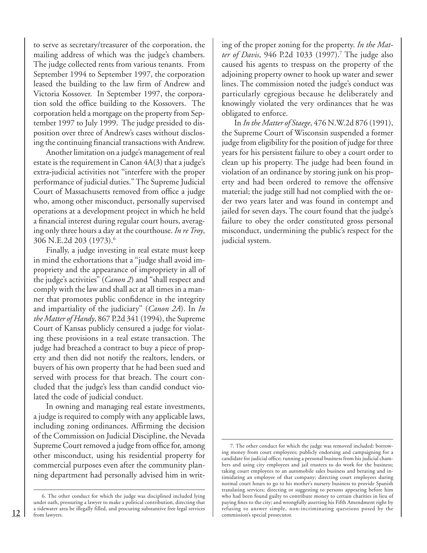to serve as secretary/treasurer of the corporation, the mailing address of which was the judge's chambers. The judge collected rents from various tenants. From September 1994 to September 1997, the corporation leased the building to the law firm of Andrew and Victoria Kossover. In September 1997, the corporation sold the office building to the Kossovers. The corporation held a mortgage on the property from September 1997 to July 1999. The judge presided to disposition over three of Andrew's cases without disclosing the continuing financial transactions with Andrew.

Another limitation on a judge's management of real estate is the requirement in Canon 4A(3) that a judge's extra-judicial activities not ''interfere with the proper performance of judicial duties.'' The Supreme Judicial Court of Massachusetts removed from office a judge who, among other misconduct, personally supervised operations at a development project in which he held a financial interest during regular court hours, averaging only three hours a day at the courthouse. *In re Troy*, 306 N.E.2d 203 (1973).6

Finally, a judge investing in real estate must keep in mind the exhortations that a ''judge shall avoid impropriety and the appearance of impropriety in all of the judge's activities'' (*Canon 2*) and ''shall respect and comply with the law and shall act at all times in a manner that promotes public confidence in the integrity and impartiality of the judiciary'' (*Canon 2A*). In *In the Matter of Handy*, 867 P.2d 341 (1994), the Supreme Court of Kansas publicly censured a judge for violating these provisions in a real estate transaction. The judge had breached a contract to buy a piece of property and then did not notify the realtors, lenders, or buyers of his own property that he had been sued and served with process for that breach. The court concluded that the judge's less than candid conduct violated the code of judicial conduct.

In owning and managing real estate investments, a judge is required to comply with any applicable laws, including zoning ordinances. Affirming the decision of the Commission on Judicial Discipline, the Nevada Supreme Court removed a judge from office for, among other misconduct, using his residential property for commercial purposes even after the community planning department had personally advised him in writing of the proper zoning for the property. *In the Mat*ter of Davis, 946 P.2d 1033 (1997).<sup>7</sup> The judge also caused his agents to trespass on the property of the adjoining property owner to hook up water and sewer lines. The commission noted the judge's conduct was particularly egregious because he deliberately and knowingly violated the very ordinances that he was obligated to enforce.

In *In the Matter of Staege*, 476 N.W.2d 876 (1991), the Supreme Court of Wisconsin suspended a former judge from eligibility for the position of judge for three years for his persistent failure to obey a court order to clean up his property. The judge had been found in violation of an ordinance by storing junk on his property and had been ordered to remove the offensive material; the judge still had not complied with the order two years later and was found in contempt and jailed for seven days. The court found that the judge's failure to obey the order constituted gross personal misconduct, undermining the public's respect for the judicial system.

<sup>6.</sup> The other conduct for which the judge was disciplined included lying under oath, pressuring a lawyer to make a political contribution, directing that a tidewater area be illegally filled, and procuring substantive free legal services from lawyers.

<sup>7.</sup> The other conduct for which the judge was removed included: borrowing money from court employees; publicly endorsing and campaigning for a candidate for judicial office; running a personal business from his judicial chambers and using city employees and jail trustees to do work for the business; taking court employees to an automobile sales business and berating and intimidating an employee of that company; directing court employees during normal court hours to go to his mother's nursery business to provide Spanish translating services; directing or suggesting to persons appearing before him who had been found guilty to contribute money to certain charities in lieu of paying fines to the city; and wrongfully asserting his Fifth Amendment right by refusing to answer simple, non-incriminating questions posed by the commission's special prosecutor.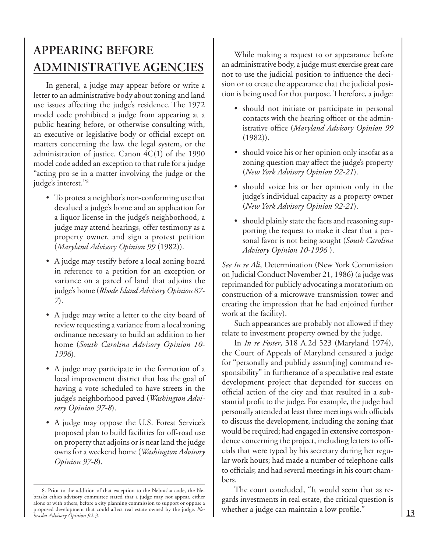### **APPEARING BEFORE ADMINISTRATIVE AGENCIES**

In general, a judge may appear before or write a letter to an administrative body about zoning and land use issues affecting the judge's residence. The 1972 model code prohibited a judge from appearing at a public hearing before, or otherwise consulting with, an executive or legislative body or official except on matters concerning the law, the legal system, or the administration of justice. Canon 4C(1) of the 1990 model code added an exception to that rule for a judge "acting pro se in a matter involving the judge or the judge's interest.''8

- To protest a neighbor's non-conforming use that devalued a judge's home and an application for a liquor license in the judge's neighborhood, a judge may attend hearings, offer testimony as a property owner, and sign a protest petition (*Maryland Advisory Opinion 99* (1982)).
- A judge may testify before a local zoning board in reference to a petition for an exception or variance on a parcel of land that adjoins the judge's home (*Rhode Island Advisory Opinion 87- 7*).
- A judge may write a letter to the city board of review requesting a variance from a local zoning ordinance necessary to build an addition to her home (*South Carolina Advisory Opinion 10- 1996*).
- A judge may participate in the formation of a local improvement district that has the goal of having a vote scheduled to have streets in the judge's neighborhood paved (*Washington Advisory Opinion 97-8*).
- A judge may oppose the U.S. Forest Service's proposed plan to build facilities for off-road use on property that adjoins or is near land the judge owns for a weekend home (*Washington Advisory Opinion 97-8*).

While making a request to or appearance before an administrative body, a judge must exercise great care not to use the judicial position to influence the decision or to create the appearance that the judicial position is being used for that purpose. Therefore, a judge:

- should not initiate or participate in personal contacts with the hearing officer or the administrative office (*Maryland Advisory Opinion 99* (1982)).
- should voice his or her opinion only insofar as a zoning question may affect the judge's property (*New York Advisory Opinion 92-21*).
- should voice his or her opinion only in the judge's individual capacity as a property owner (*New York Advisory Opinion 92-21*).
- should plainly state the facts and reasoning supporting the request to make it clear that a personal favor is not being sought (*South Carolina Advisory Opinion 10-1996* ).

*See In re Ali*, Determination (New York Commission on Judicial Conduct November 21, 1986) (a judge was reprimanded for publicly advocating a moratorium on construction of a microwave transmission tower and creating the impression that he had enjoined further work at the facility).

Such appearances are probably not allowed if they relate to investment property owned by the judge.

In *In re Foster*, 318 A.2d 523 (Maryland 1974), the Court of Appeals of Maryland censured a judge for ''personally and publicly assum[ing] command responsibility'' in furtherance of a speculative real estate development project that depended for success on official action of the city and that resulted in a substantial profit to the judge. For example, the judge had personally attended at least three meetings with officials to discuss the development, including the zoning that would be required; had engaged in extensive correspondence concerning the project, including letters to officials that were typed by his secretary during her regular work hours; had made a number of telephone calls to officials; and had several meetings in his court chambers.

The court concluded, ''It would seem that as regards investments in real estate, the critical question is whether a judge can maintain a low profile.''

<sup>8.</sup> Prior to the addition of that exception to the Nebraska code, the Nebraska ethics advisory committee stated that a judge may not appear, either alone or with others, before a city planning commission to support or oppose a proposed development that could affect real estate owned by the judge. *Nebraska Advisory Opinion 92-3*.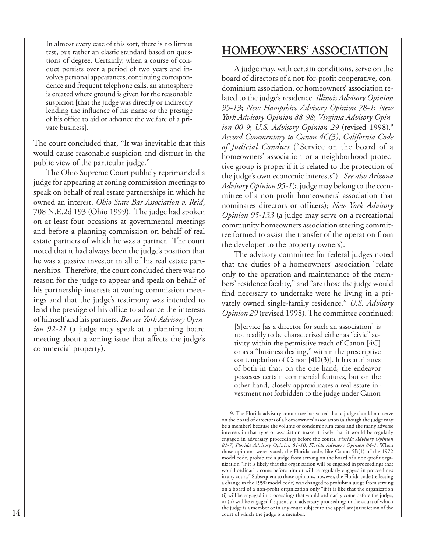In almost every case of this sort, there is no litmus test, but rather an elastic standard based on questions of degree. Certainly, when a course of conduct persists over a period of two years and involves personal appearances, continuing correspondence and frequent telephone calls, an atmosphere is created where ground is given for the reasonable suspicion [that the judge was directly or indirectly lending the influence of his name or the prestige of his office to aid or advance the welfare of a private business].

The court concluded that, ''It was inevitable that this would cause reasonable suspicion and distrust in the public view of the particular judge.''

The Ohio Supreme Court publicly reprimanded a judge for appearing at zoning commission meetings to speak on behalf of real estate partnerships in which he owned an interest. *Ohio State Bar Association v. Reid*, 708 N.E.2d 193 (Ohio 1999). The judge had spoken on at least four occasions at governmental meetings and before a planning commission on behalf of real estate partners of which he was a partner. The court noted that it had always been the judge's position that he was a passive investor in all of his real estate partnerships. Therefore, the court concluded there was no reason for the judge to appear and speak on behalf of his partnership interests at zoning commission meetings and that the judge's testimony was intended to lend the prestige of his office to advance the interests of himself and his partners. *But see York Advisory Opinion 92-21* (a judge may speak at a planning board meeting about a zoning issue that affects the judge's commercial property).

### **HOMEOWNERS' ASSOCIATION**

A judge may, with certain conditions, serve on the board of directors of a not-for-profit cooperative, condominium association, or homeowners' association related to the judge's residence. *Illinois Advisory Opinion 95-13*; *New Hampshire Advisory Opinion 78-1*; *New York Advisory Opinion 88-98*; *Virginia Advisory Opinion 00-9*; *U.S. Advisory Opinion 29* (revised 1998).9 *Accord Commentary to Canon 4C(3)*, *California Code of Judicial Conduct* ("Service on the board of a homeowners' association or a neighborhood protective group is proper if it is related to the protection of the judge's own economic interests"). *See also Arizona Advisory Opinion 95-1*(a judge may belong to the committee of a non-profit homeowners' association that nominates directors or officers); *New York Advisory Opinion 95-133* (a judge may serve on a recreational community homeowners association steering committee formed to assist the transfer of the operation from the developer to the property owners).

The advisory committee for federal judges noted that the duties of a homeowners' association "relate only to the operation and maintenance of the members' residence facility,'' and "are those the judge would find necessary to undertake were he living in a privately owned single-family residence.'' *U.S. Advisory Opinion 29* (revised 1998). The committee continued:

[S]ervice [as a director for such an association] is not readily to be characterized either as ''civic'' activity within the permissive reach of Canon [4C] or as a ''business dealing,'' within the prescriptive contemplation of Canon [4D(3)]. It has attributes of both in that, on the one hand, the endeavor possesses certain commercial features, but on the other hand, closely approximates a real estate investment not forbidden to the judge under Canon

<sup>9.</sup> The Florida advisory committee has stated that a judge should not serve on the board of directors of a homeowners' association (although the judge may be a member) because the volume of condominium cases and the many adverse interests in that type of association make it likely that it would be regularly engaged in adversary proceedings before the courts. *Florida Advisory Opinion 81-7*; *Florida Advisory Opinion 81-10*; *Florida Advisory Opinion 84-1*. When those opinions were issued, the Florida code, like Canon 5B(1) of the 1972 model code, prohibited a judge from serving on the board of a non-profit organization ''if it is likely that the organization will be engaged in proceedings that would ordinarily come before him or will be regularly engaged in proceedings in any court.'' Subsequent to those opinions, however, the Florida code (reflecting a change in the 1990 model code) was changed to prohibit a judge from serving on a board of a non-profit organization only ''if it is like that the organization (i) will be engaged in proceedings that would ordinarily come before the judge, or (ii) will be engaged frequently in adversary proceedings in the court of which the judge is a member or in any court subject to the appellate jurisdiction of the court of which the judge is a member.''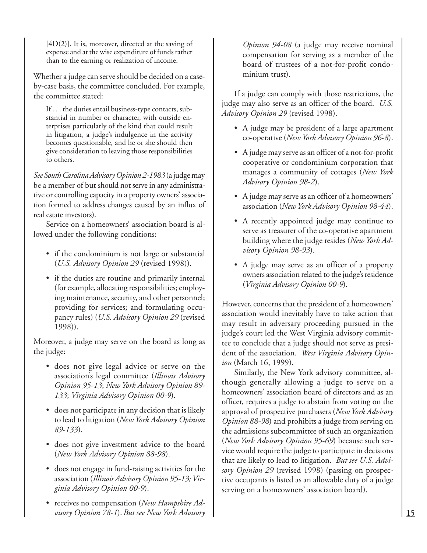$[4D(2)]$ . It is, moreover, directed at the saving of expense and at the wise expenditure of funds rather than to the earning or realization of income.

Whether a judge can serve should be decided on a caseby-case basis, the committee concluded. For example, the committee stated:

If . . . the duties entail business-type contacts, substantial in number or character, with outside enterprises particularly of the kind that could result in litigation, a judge's indulgence in the activity becomes questionable, and he or she should then give consideration to leaving those responsibilities to others.

*See South Carolina Advisory Opinion 2-1983* (a judge may be a member of but should not serve in any administrative or controlling capacity in a property owners' association formed to address changes caused by an influx of real estate investors).

Service on a homeowners' association board is allowed under the following conditions:

- if the condominium is not large or substantial (*U.S. Advisory Opinion 29* (revised 1998)).
- if the duties are routine and primarily internal (for example, allocating responsibilities; employing maintenance, security, and other personnel; providing for services; and formulating occupancy rules) (*U.S. Advisory Opinion 29* (revised 1998)).

Moreover, a judge may serve on the board as long as the judge:

- does not give legal advice or serve on the association's legal committee (*Illinois Advisory Opinion 95-13*; *New York Advisory Opinion 89- 133*; *Virginia Advisory Opinion 00-9*).
- does not participate in any decision that is likely to lead to litigation (*New York Advisory Opinion 89-133*).
- does not give investment advice to the board (*New York Advisory Opinion 88-98*).
- does not engage in fund-raising activities for the association (*Illinois Advisory Opinion 95-13; Virginia Advisory Opinion 00-9*).
- receives no compensation (*New Hampshire Advisory Opinion 78-1*).*But see New York Advisory*

*Opinion 94-08* (a judge may receive nominal compensation for serving as a member of the board of trustees of a not-for-profit condominium trust).

If a judge can comply with those restrictions, the judge may also serve as an officer of the board. *U.S. Advisory Opinion 29* (revised 1998).

- A judge may be president of a large apartment co-operative (*New York Advisory Opinion 96-8*).
- A judge may serve as an officer of a not-for-profit cooperative or condominium corporation that manages a community of cottages (*New York Advisory Opinion 98-2*).
- A judge may serve as an officer of a homeowners' association (*New York Advisory Opinion 98-44*).
- A recently appointed judge may continue to serve as treasurer of the co-operative apartment building where the judge resides (*New York Advisory Opinion 98-93*).
- A judge may serve as an officer of a property owners association related to the judge's residence (*Virginia Advisory Opinion 00-9*).

However, concerns that the president of a homeowners' association would inevitably have to take action that may result in adversary proceeding pursued in the judge's court led the West Virginia advisory committee to conclude that a judge should not serve as president of the association. *West Virginia Advisory Opinion* (March 16, 1999).

Similarly, the New York advisory committee, although generally allowing a judge to serve on a homeowners' association board of directors and as an officer, requires a judge to abstain from voting on the approval of prospective purchasers (*New York Advisory Opinion 88-98*) and prohibits a judge from serving on the admissions subcommittee of such an organization (*New York Advisory Opinion 95-69*) because such service would require the judge to participate in decisions that are likely to lead to litigation. *But see U.S. Advisory Opinion 29* (revised 1998) (passing on prospective occupants is listed as an allowable duty of a judge serving on a homeowners' association board).